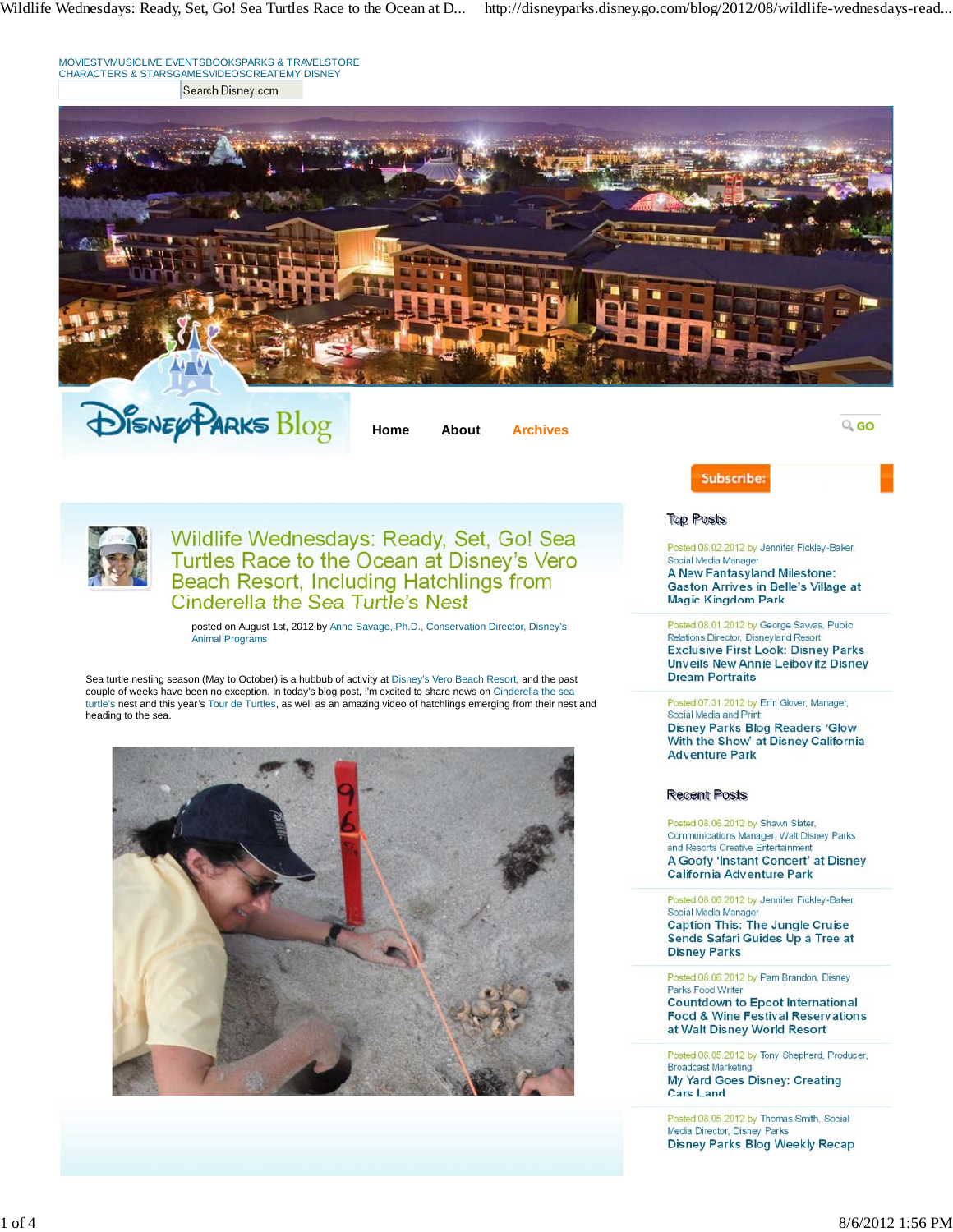Wildlife Wednesdays: Ready, Set, Go! Sea Turtles Race to the Ocean at D... http://disneyparks.disney.go.com/blog/2012/08/wildlife-wednesdays-read...

MOVIESTVMUSICLIVE EVENTSBOOKSPARKS & TRAVELSTORE CHARACTERS & STARSGAMESVIDEOSCREATEMY DISNEY Search Disney.com



**DISNEY PARKS Blog** 

**Home About Archives**

 $Q_{\rm s}$  GO



Wildlife Wednesdays: Ready, Set, Go! Sea Turtles Race to the Ocean at Disney's Vero Beach Resort, Including Hatchlings from<br>Cinderella the Sea Turtle's Nest

posted on August 1st, 2012 by Anne Savage, Ph.D., Conservation Director, Disney's Animal Programs

Sea turtle nesting season (May to October) is a hubbub of activity at Disney's Vero Beach Resort, and the past couple of weeks have been no exception. In today's blog post, I'm excited to share news on Cinderella the sea<br>turtle's nest and this year's Tour de Turtles, as well as an amazing video of hatchlings emerging from their nes heading to the sea.



| Posted 08.02.2012 by Jennifer Fickley-Baker, |  |  |  |  |  |  |
|----------------------------------------------|--|--|--|--|--|--|
| Social Media Manager                         |  |  |  |  |  |  |
| A New Fantasyland Milestone:                 |  |  |  |  |  |  |
| <b>Gaston Arrives in Belle's Village at</b>  |  |  |  |  |  |  |
| <b>Magic Kingdom Park</b>                    |  |  |  |  |  |  |
| Posted 08.01.2012 by George Sawas, Public    |  |  |  |  |  |  |
| Relations Director, Disneyland Resort        |  |  |  |  |  |  |
| <b>Exclusive First Look: Disney Parks</b>    |  |  |  |  |  |  |
| Unveils New Annie Leibovitz Disney           |  |  |  |  |  |  |

Subscribe:

**Top Posts** 

Posted 07.31.2012 by Erin Glover, Manager, Social Media and Print **Disney Parks Blog Readers 'Glow** With the Show' at Disney California **Adventure Park** 

## **Recent Posts**

**Dream Portraits** 

Posted 08.06.2012 by Shawn Slater, Communications Manager, Walt Disney Parks and Resorts Creative Entertainment A Goofy 'Instant Concert' at Disney **California Adventure Park** 

Posted 08.06.2012 by Jennifer Fickley-Baker, Social Media Manager **Caption This: The Jungle Cruise** Sends Safari Guides Up a Tree at **Disney Parks** 

Posted 08.06.2012 by Pam Brandon, Disney Parks Food Writer **Countdown to Epcot International Food & Wine Festival Reservations** at Walt Disney World Resort

Posted 08.05.2012 by Tony Shepherd, Producer, **Broadcast Marketing** My Yard Goes Disney: Creating **Cars Land** 

Posted 08.05.2012 by Thomas Smith, Social Media Director, Disney Parks **Disney Parks Blog Weekly Recap**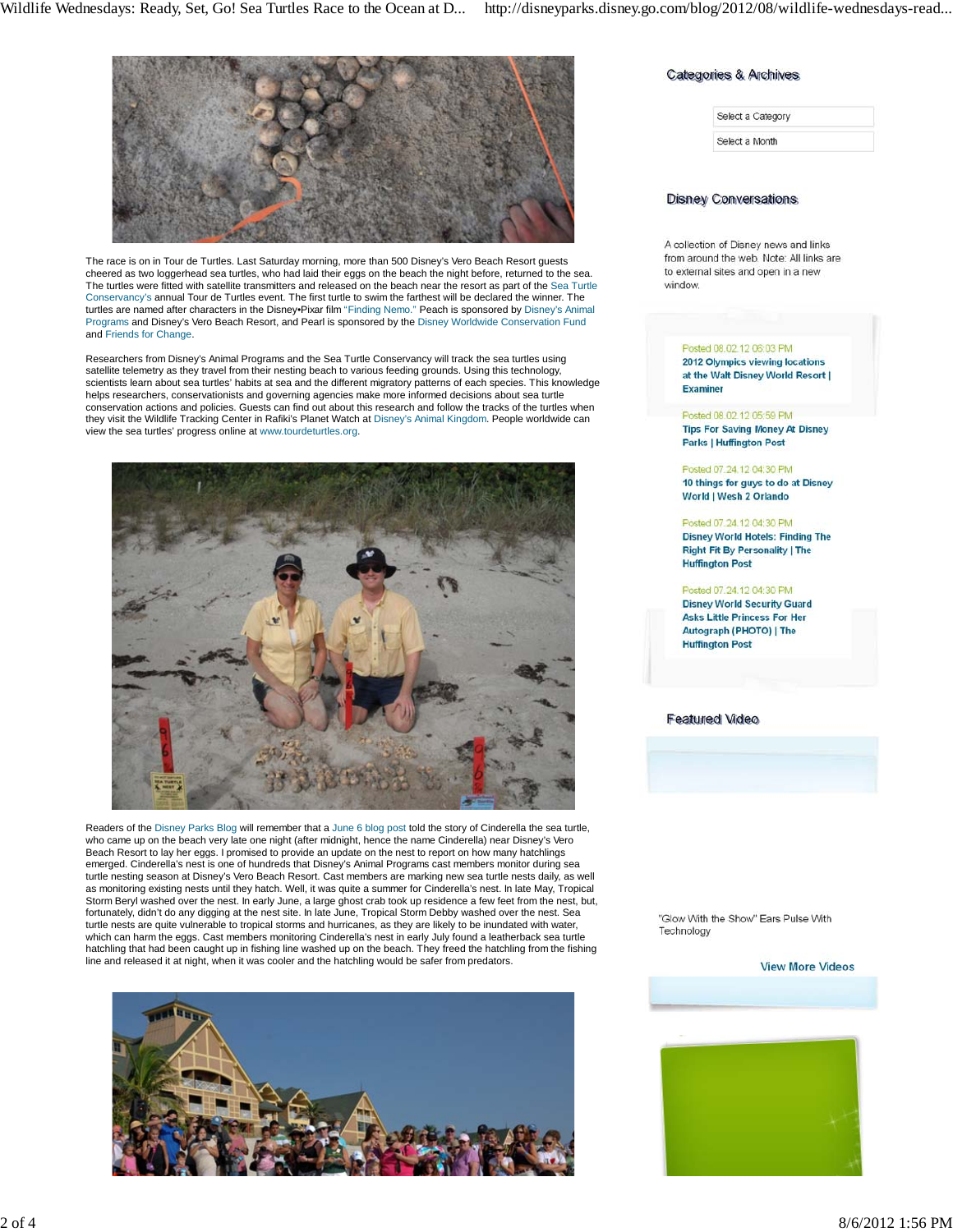

The race is on in Tour de Turtles. Last Saturday morning, more than 500 Disney's Vero Beach Resort guests cheered as two loggerhead sea turtles, who had laid their eggs on the beach the night before, returned to the sea. The turtles were fitted with satellite transmitters and released on the beach near the resort as part of the Sea Turtle Conservancy's annual Tour de Turtles event. The first turtle to swim the farthest will be declared the winner. The turtles are named after characters in the Disney•Pixar film "Finding Nemo." Peach is sponsored by Disney's Animal<br>Programs and Disney's Vero Beach Resort, and Pearl is sponsored by the Disney Worldwide Conservation Fund and Friends for Change.

Researchers from Disney's Animal Programs and the Sea Turtle Conservancy will track the sea turtles using satellite telemetry as they travel from their nesting beach to various feeding grounds. Using this technology,<br>scientists learn about sea turtles' habits at sea and the different migratory patterns of each species. This kn helps researchers, conservationists and governing agencies make more informed decisions about sea turtle conservation actions and policies. Guests can find out about this research and follow the tracks of the turtles when they visit the Wildlife Tracking Center in Rafiki's Planet Watch at Disney's Animal Kingdom. People worldwide can view the sea turtles' progress online at www.tourdeturtles.org.



Readers of the Disney Parks Blog will remember that a June 6 blog post told the story of Cinderella the sea turtle, who came up on the beach very late one night (after midnight, hence the name Cinderella) near Disney's Vero Beach Resort to lay her eggs. I promised to provide an update on the nest to report on how many hatchlings emerged. Cinderella's nest is one of hundreds that Disney's Animal Programs cast members monitor during sea turtle nesting season at Disney's Vero Beach Resort. Cast members are marking new sea turtle nests daily, as well as monitoring existing nests until they hatch. Well, it was quite a summer for Cinderella's nest. In late May, Tropical Storm Beryl washed over the nest. In early June, a large ghost crab took up residence a few feet from the nest, but, fortunately, didn't do any digging at the nest site. In late June, Tropical Storm Debby washed over the nest. Sea turtle nests are quite vulnerable to tropical storms and hurricanes, as they are likely to be inundated with water, which can harm the eggs. Cast members monitoring Cinderella's nest in early July found a leatherback sea turtle hatchling that had been caught up in fishing line washed up on the beach. They freed the hatchling from the fishing line and released it at night, when it was cooler and the hatchling would be safer from predators.



## Categories & Archives

| Select a Category |  |
|-------------------|--|
| Select a Month    |  |

## **Disney Conversations**

A collection of Disney news and links from around the web. Note: All links are to external sites and open in a new window

#### Posted 08.02.12 06:03 PM 2012 Olympics viewing locations at the Walt Disney World Resort |

**Examiner** 

Posted 08.02.12.05:59 PM **Tips For Saving Money At Disney** 

**Parks | Huffington Post** 

#### Posted 07.24.12 04:30 PM 10 things for guys to do at Disney World | Wesh 2 Orlando

Posted 07:24.12 04:30 PM **Disney World Hotels: Finding The Right Fit By Personality | The Huffington Post** 

## Posted 07.24.12 04:30 PM

**Disney World Security Guard Asks Little Princess For Her** Autograph (PHOTO) | The **Huffington Post** 

## **Featured Video**

"Glow With the Show" Ears Pulse With Technology

#### **View More Videos**

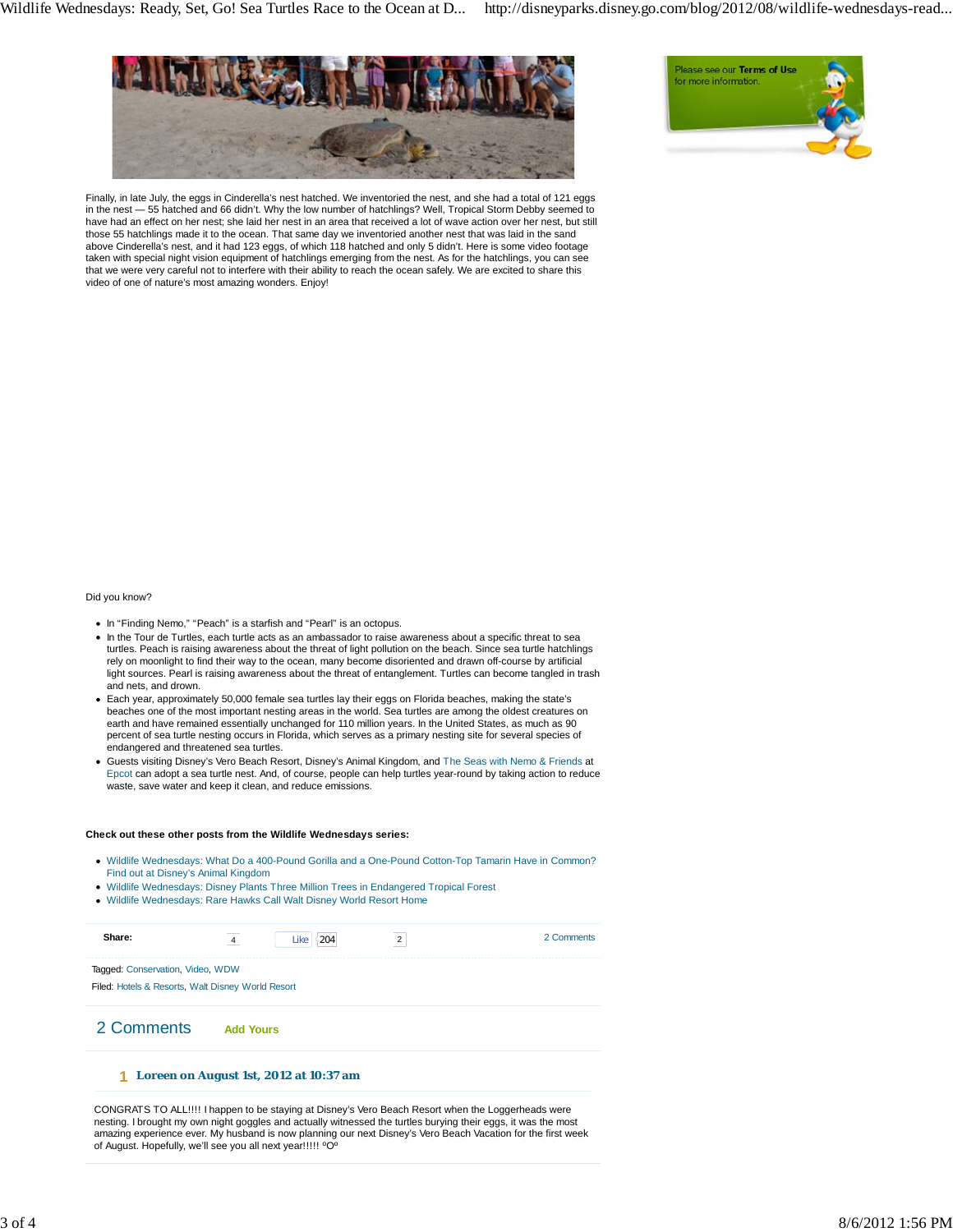

Finally, in late July, the eggs in Cinderella's nest hatched. We inventoried the nest, and she had a total of 121 eggs in the nest — 55 hatched and 66 didn't. Why the low number of hatchlings? Well, Tropical Storm Debby seemed to have had an effect on her nest; she laid her nest in an area that received a lot of wave action over her nest, but still those 55 hatchlings made it to the ocean. That same day we inventoried another nest that was laid in the sand above Cinderella's nest, and it had 123 eggs, of which 118 hatched and only 5 didn't. Here is some video footage taken with special night vision equipment of hatchlings emerging from the nest. As for the hatchlings, you can see that we were very careful not to interfere with their ability to reach the ocean safely. We are excited to share this video of one of nature's most amazing wonders. Enjoy!



#### Did you know?

- In "Finding Nemo," "Peach" is a starfish and "Pearl" is an octopus.
- In the Tour de Turtles, each turtle acts as an ambassador to raise awareness about a specific threat to sea turtles. Peach is raising awareness about the threat of light pollution on the beach. Since sea turtle hatchlings rely on moonlight to find their way to the ocean, many become disoriented and drawn off-course by artificial light sources. Pearl is raising awareness about the threat of entanglement. Turtles can become tangled in trash and nets, and drown.
- Each year, approximately 50,000 female sea turtles lay their eggs on Florida beaches, making the state's beaches one of the most important nesting areas in the world. Sea turtles are among the oldest creatures on earth and have remained essentially unchanged for 110 million years. In the United States, as much as 90 percent of sea turtle nesting occurs in Florida, which serves as a primary nesting site for several species of endangered and threatened sea turtles.
- Guests visiting Disney's Vero Beach Resort, Disney's Animal Kingdom, and The Seas with Nemo & Friends at Epcot can adopt a sea turtle nest. And, of course, people can help turtles year-round by taking action to reduce waste, save water and keep it clean, and reduce emissions.

#### **Check out these other posts from the Wildlife Wednesdays series:**

- Wildlife Wednesdays: What Do a 400-Pound Gorilla and a One-Pound Cotton-Top Tamarin Have in Common? Find out at Disney's Animal Kingdom
- Wildlife Wednesdays: Disney Plants Three Million Trees in Endangered Tropical Forest
- Wildlife Wednesdays: Rare Hawks Call Walt Disney World Resort Home

| Share:                                                                                | 4                | Like<br>204 | $\overline{2}$ | 2 Comments |
|---------------------------------------------------------------------------------------|------------------|-------------|----------------|------------|
| Tagged: Conservation, Video, WDW<br>Filed: Hotels & Resorts, Walt Disney World Resort |                  |             |                |            |
| 2 Comments                                                                            | <b>Add Yours</b> |             |                |            |
|                                                                                       |                  |             |                |            |

### **Loreen on August 1st, 2012 at 10:37 am 1**

CONGRATS TO ALL!!!! I happen to be staying at Disney's Vero Beach Resort when the Loggerheads were nesting. I brought my own night goggles and actually witnessed the turtles burying their eggs, it was the most amazing experience ever. My husband is now planning our next Disney's Vero Beach Vacation for the first week of August. Hopefully, we'll see you all next year!!!!! ºOº